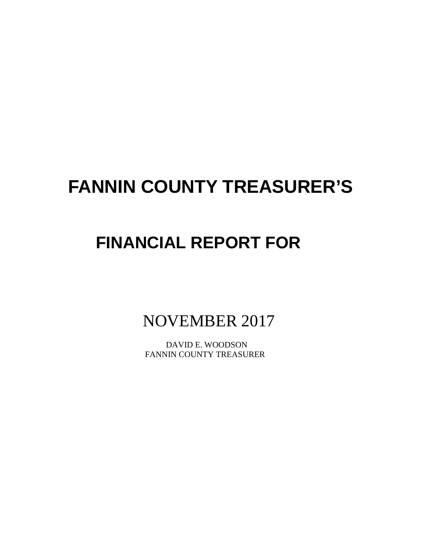# **FANNIN COUNTY TREASURER'S**

## **FINANCIAL REPORT FOR**

NOVEMBER 2017

 DAVID E. WOODSON FANNIN COUNTY TREASURER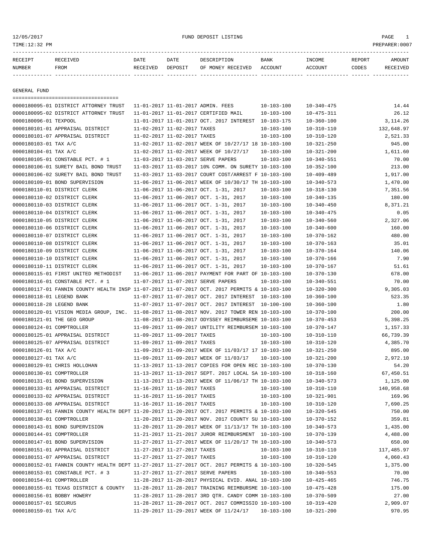12/05/2017 FUND DEPOSIT LISTING PAGE 1

| RECEIPT | <b>RECEIVED</b> | DATE            | DATE    | DESCRIPTION       | <b>BANK</b> | <b>TNCOME</b> | REPORT | AMOUNT          |
|---------|-----------------|-----------------|---------|-------------------|-------------|---------------|--------|-----------------|
| NUMBER  | FROM            | <b>RECEIVED</b> | DEPOSIT | OF MONEY RECEIVED | ACCOUNT     | ACCOUNT       | CODES  | <b>RECEIVED</b> |
|         |                 |                 |         |                   |             |               |        |                 |

GENERAL FUND

|                             | ======================================                                                       |                             |                             |                                                      |                  |                  |            |
|-----------------------------|----------------------------------------------------------------------------------------------|-----------------------------|-----------------------------|------------------------------------------------------|------------------|------------------|------------|
|                             | 0000180095-01 DISTRICT ATTORNEY TRUST                                                        |                             |                             | 11-01-2017 11-01-2017 ADMIN. FEES                    | $10 - 103 - 100$ | $10 - 340 - 475$ | 14.44      |
|                             | 0000180095-02 DISTRICT ATTORNEY TRUST                                                        |                             |                             | 11-01-2017 11-01-2017 CERTIFIED MAIL                 | $10 - 103 - 100$ | $10 - 475 - 311$ | 26.12      |
| 0000180096-01 TEXPOOL       |                                                                                              |                             |                             | 11-01-2017 11-01-2017 OCT. 2017 INTEREST 10-103-175  |                  | $10 - 360 - 100$ | 3, 114.26  |
|                             | 0000180101-01 APPRAISAL DISTRICT                                                             | 11-02-2017 11-02-2017 TAXES |                             |                                                      | $10 - 103 - 100$ | $10 - 310 - 110$ | 132,648.97 |
|                             | 0000180101-07 APPRAISAL DISTRICT                                                             | 11-02-2017 11-02-2017 TAXES |                             |                                                      | 10-103-100       | $10 - 310 - 120$ | 2,521.33   |
| 0000180103-01 TAX A/C       |                                                                                              |                             |                             | 11-02-2017 11-02-2017 WEEK OF 10/27/17 18 10-103-100 |                  | $10 - 321 - 250$ | 945.00     |
| 0000180104-01 TAX A/C       |                                                                                              |                             |                             | 11-02-2017 11-02-2017 WEEK OF 10/27/17               | $10 - 103 - 100$ | $10 - 321 - 200$ | 1,611.60   |
|                             | 0000180105-01 CONSTABLE PCT. # 1                                                             |                             |                             | 11-03-2017 11-03-2017 SERVE PAPERS                   | 10-103-100       | 10-340-551       | 70.00      |
|                             | 0000180106-01 SURETY BAIL BOND TRUST                                                         |                             |                             | 11-03-2017 11-03-2017 10% COMM. ON SURETY 10-103-100 |                  | $10 - 352 - 100$ | 213.00     |
|                             | 0000180106-02 SURETY BAIL BOND TRUST                                                         |                             |                             | 11-03-2017 11-03-2017 COURT COST/ARREST F 10-103-100 |                  | $10 - 409 - 489$ | 1,917.00   |
|                             | 0000180109-01 BOND SUPERVISION                                                               |                             |                             | 11-06-2017 11-06-2017 WEEK OF 10/30/17 TH 10-103-100 |                  | $10 - 340 - 573$ | 1,470.00   |
|                             | 0000180110-01 DISTRICT CLERK                                                                 |                             |                             | 11-06-2017 11-06-2017 OCT. 1-31, 2017                | 10-103-100       | $10 - 318 - 130$ | 7,351.56   |
|                             | 0000180110-02 DISTRICT CLERK                                                                 |                             |                             | 11-06-2017 11-06-2017 OCT. 1-31, 2017                | 10-103-100       | 10-340-135       | 180.00     |
|                             | 0000180110-03 DISTRICT CLERK                                                                 |                             |                             | 11-06-2017 11-06-2017 OCT. 1-31, 2017                | $10 - 103 - 100$ | $10 - 340 - 450$ | 8,371.21   |
|                             | 0000180110-04 DISTRICT CLERK                                                                 |                             |                             | 11-06-2017 11-06-2017 OCT. 1-31, 2017                | $10 - 103 - 100$ | $10 - 340 - 475$ | 0.05       |
|                             | 0000180110-05 DISTRICT CLERK                                                                 |                             |                             | 11-06-2017 11-06-2017 OCT. 1-31, 2017                | $10 - 103 - 100$ | $10 - 340 - 560$ | 2,327.06   |
|                             | 0000180110-06 DISTRICT CLERK                                                                 |                             |                             | 11-06-2017 11-06-2017 OCT. 1-31, 2017                | $10 - 103 - 100$ | $10 - 340 - 600$ | 160.00     |
|                             | 0000180110-07 DISTRICT CLERK                                                                 |                             |                             | 11-06-2017 11-06-2017 OCT. 1-31, 2017                | $10 - 103 - 100$ | 10-370-162       | 480.00     |
|                             | 0000180110-08 DISTRICT CLERK                                                                 |                             |                             | 11-06-2017 11-06-2017 OCT. 1-31, 2017                | $10 - 103 - 100$ | $10 - 370 - 163$ | 35.01      |
|                             | 0000180110-09 DISTRICT CLERK                                                                 |                             |                             | 11-06-2017 11-06-2017 OCT. 1-31, 2017                | $10 - 103 - 100$ | $10 - 370 - 164$ | 140.06     |
|                             | 0000180110-10 DISTRICT CLERK                                                                 |                             |                             | 11-06-2017 11-06-2017 OCT. 1-31, 2017                | $10 - 103 - 100$ | $10 - 370 - 166$ | 7.90       |
|                             | 0000180110-11 DISTRICT CLERK                                                                 |                             |                             | 11-06-2017 11-06-2017 OCT. 1-31, 2017                | $10 - 103 - 100$ | $10 - 370 - 167$ | 51.61      |
|                             | 0000180115-01 FIRST UNITED METHODIST                                                         |                             |                             | 11-06-2017 11-06-2017 PAYMENT FOR PART OF 10-103-100 |                  | $10 - 370 - 130$ | 678.00     |
|                             | 0000180116-01 CONSTABLE PCT. # 1                                                             |                             |                             | 11-07-2017 11-07-2017 SERVE PAPERS                   | $10 - 103 - 100$ | 10-340-551       | 70.00      |
|                             | 0000180117-01 FANNIN COUNTY HEALTH INSP 11-07-2017 11-07-2017 OCT. 2017 PERMITS & 10-103-100 |                             |                             |                                                      |                  | $10 - 320 - 300$ | 9,305.03   |
| 0000180118-01 LEGEND BANK   |                                                                                              |                             |                             | 11-07-2017 11-07-2017 OCT. 2017 INTEREST 10-103-100  |                  | $10 - 360 - 100$ | 523.35     |
| 0000180118-28 LEGEND BANK   |                                                                                              |                             |                             | 11-07-2017 11-07-2017 OCT. 2017 INTEREST 10-100-100  |                  | $10 - 360 - 100$ | 1.80       |
|                             | 0000180120-01 VISION MEDIA GROUP, INC. 11-08-2017 11-08-2017 NOV. 2017 TOWER REN 10-103-100  |                             |                             |                                                      |                  | $10 - 370 - 100$ | 200.00     |
| 0000180121-01 THE GEO GROUP |                                                                                              |                             |                             | 11-08-2017 11-08-2017 ODYSSEY REIMBURSEME 10-103-100 |                  | $10 - 370 - 453$ | 5,398.25   |
| 0000180124-01 COMPTROLLER   |                                                                                              |                             |                             | 11-09-2017 11-09-2017 UNTILITY REIMBURSEM 10-103-100 |                  | $10 - 370 - 147$ | 1,157.33   |
|                             | 0000180125-01 APPRAISAL DISTRICT                                                             | 11-09-2017 11-09-2017 TAXES |                             |                                                      | $10 - 103 - 100$ | $10 - 310 - 110$ | 66,739.39  |
|                             | 0000180125-07 APPRAISAL DISTRICT                                                             | 11-09-2017 11-09-2017 TAXES |                             |                                                      | $10 - 103 - 100$ | $10 - 310 - 120$ | 4,385.70   |
| 0000180126-01 TAX A/C       |                                                                                              |                             |                             | 11-09-2017 11-09-2017 WEEK OF 11/03/17 17 10-103-100 |                  | $10 - 321 - 250$ | 895.00     |
| 0000180127-01 TAX A/C       |                                                                                              |                             |                             | 11-09-2017 11-09-2017 WEEK OF 11/03/17               | $10 - 103 - 100$ | $10 - 321 - 200$ | 2,972.10   |
|                             | 0000180129-01 CHRIS HOLLOHAN                                                                 |                             |                             | 11-13-2017 11-13-2017 COPIES FOR OPEN REC 10-103-100 |                  | $10 - 370 - 130$ | 54.20      |
| 0000180130-01 COMPTROLLER   |                                                                                              |                             |                             | 11-13-2017 11-13-2017 SEPT. 2017 LOCAL SA 10-103-100 |                  | $10 - 318 - 160$ | 67,450.51  |
|                             | 0000180131-01 BOND SUPERVISION                                                               |                             |                             | 11-13-2017 11-13-2017 WEEK OF 11/06/17 TH 10-103-100 |                  | $10 - 340 - 573$ | 1,125.00   |
|                             | 0000180133-01 APPRAISAL DISTRICT                                                             | 11-16-2017 11-16-2017 TAXES |                             |                                                      | 10-103-100       | $10 - 310 - 110$ | 140,958.68 |
|                             | 0000180133-02 APPRAISAL DISTRICT                                                             | 11-16-2017 11-16-2017 TAXES |                             |                                                      | 10-103-100       | $10 - 321 - 901$ | 169.96     |
|                             | 0000180133-08 APPRAISAL DISTRICT                                                             |                             | 11-16-2017 11-16-2017 TAXES |                                                      | $10 - 103 - 100$ | $10 - 310 - 120$ | 7,690.25   |
|                             | 0000180137-01 FANNIN COUNTY HEALTH DEPT 11-20-2017 11-20-2017 OCT. 2017 PERMITS & 10-103-100 |                             |                             |                                                      |                  | $10 - 320 - 545$ | 750.00     |
| 0000180138-01 COMPTROLLER   |                                                                                              |                             |                             | 11-20-2017 11-20-2017 NOV. 2017 COUNTY SU 10-103-100 |                  | $10 - 370 - 152$ | 359.81     |
|                             | 0000180143-01 BOND SUPERVISION                                                               |                             |                             | 11-20-2017 11-20-2017 WEEK OF 11/13/17 TH 10-103-100 |                  | $10 - 340 - 573$ | 1,435.00   |
| 0000180144-01 COMPTROLLER   |                                                                                              |                             |                             | 11-21-2017 11-21-2017 JUROR REIMBURSMENT 10-103-100  |                  | $10 - 370 - 139$ | 4,488.00   |
|                             | 0000180147-01 BOND SUPERVISION                                                               |                             |                             | 11-27-2017 11-27-2017 WEEK OF 11/20/17 TH 10-103-100 |                  | $10 - 340 - 573$ | 650.00     |
|                             | 0000180151-01 APPRAISAL DISTRICT                                                             | 11-27-2017 11-27-2017 TAXES |                             |                                                      | $10 - 103 - 100$ | 10-310-110       | 117,485.97 |
|                             | 0000180151-07 APPRAISAL DISTRICT                                                             | 11-27-2017 11-27-2017 TAXES |                             |                                                      | $10 - 103 - 100$ | $10 - 310 - 120$ | 4,060.43   |
|                             | 0000180152-01 FANNIN COUNTY HEALTH DEPT 11-27-2017 11-27-2017 OCT. 2017 PERMITS & 10-103-100 |                             |                             |                                                      |                  | $10 - 320 - 545$ | 1,375.00   |
|                             | 0000180153-01 CONSTABLE PCT. # 3                                                             |                             |                             | 11-27-2017 11-27-2017 SERVE PAPERS                   | $10 - 103 - 100$ | $10 - 340 - 553$ | 70.00      |
| 0000180154-01 COMPTROLLER   |                                                                                              |                             |                             | 11-28-2017 11-28-2017 PHYSICAL EVID. ANAL 10-103-100 |                  | $10 - 425 - 465$ | 746.75     |
|                             | 0000180155-01 TEXAS DISTRICT & COUNTY 11-28-2017 11-28-2017 TRAINING REIMBURSME 10-103-100   |                             |                             |                                                      |                  | $10 - 475 - 428$ | 175.00     |
| 0000180156-01 BOBBY HOWERY  |                                                                                              |                             |                             | 11-28-2017 11-28-2017 3RD QTR. CANDY COMM 10-103-100 |                  | $10 - 370 - 509$ | 27.00      |
| 0000180157-01 SECURUS       |                                                                                              |                             |                             | 11-28-2017 11-28-2017 OCT. 2017 COMMISSIO 10-103-100 |                  |                  | 2,909.07   |
|                             |                                                                                              |                             |                             |                                                      |                  | $10 - 319 - 420$ |            |
| 0000180159-01 TAX A/C       |                                                                                              |                             |                             | 11-29-2017 11-29-2017 WEEK OF 11/24/17               | $10 - 103 - 100$ | $10 - 321 - 200$ | 970.95     |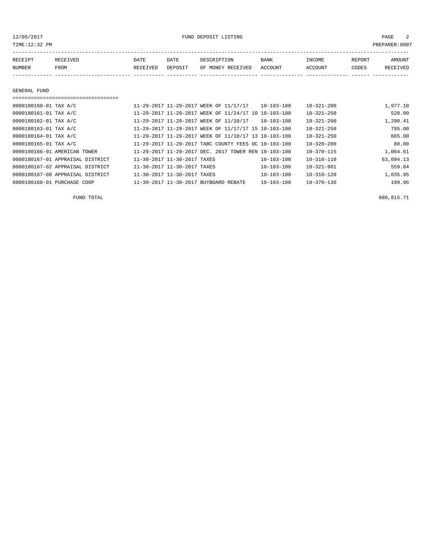12/05/2017 FUND DEPOSIT LISTING PAGE 2

| RECEIPT | RECEIVED | DATE     | DATE    | DESCRIPTION       | <b>BANK</b> | <b>TNCOME</b>  | <b>REPORT</b> | AMOUNT          |
|---------|----------|----------|---------|-------------------|-------------|----------------|---------------|-----------------|
| NUMBER  | FROM     | RECEIVED | DEPOSIT | OF MONEY RECEIVED | ACCOUNT     | <b>ACCOUNT</b> | CODES         | <b>RECEIVED</b> |
|         |          |          |         |                   |             |                |               |                 |

## ===================================

| 11-29-2017 11-29-2017 WEEK OF 11/17/17 | $10 - 103 - 100$ | $10 - 321 - 200$                                                                                                                                                                                                                                                                                         | 1,977.10  |
|----------------------------------------|------------------|----------------------------------------------------------------------------------------------------------------------------------------------------------------------------------------------------------------------------------------------------------------------------------------------------------|-----------|
|                                        |                  | $10 - 321 - 250$                                                                                                                                                                                                                                                                                         | 520.00    |
| 11-29-2017 11-29-2017 WEEK OF 11/10/17 |                  | $10 - 321 - 200$                                                                                                                                                                                                                                                                                         | 1,290.41  |
|                                        |                  | $10 - 321 - 250$                                                                                                                                                                                                                                                                                         | 795.00    |
|                                        |                  | $10 - 321 - 250$                                                                                                                                                                                                                                                                                         | 665.00    |
|                                        |                  | $10 - 320 - 200$                                                                                                                                                                                                                                                                                         | 80.00     |
|                                        |                  | $10 - 370 - 115$                                                                                                                                                                                                                                                                                         | 1,064.61  |
| 11-30-2017 11-30-2017 TAXES            | $10 - 103 - 100$ | 10-310-110                                                                                                                                                                                                                                                                                               | 63,694.13 |
| 11-30-2017 11-30-2017 TAXES            | $10 - 103 - 100$ | $10 - 321 - 901$                                                                                                                                                                                                                                                                                         | 559.84    |
| 11-30-2017 11-30-2017 TAXES            | $10 - 103 - 100$ | $10 - 310 - 120$                                                                                                                                                                                                                                                                                         | 1,035.95  |
| 11-30-2017 11-30-2017 BUYBOARD REBATE  | $10 - 103 - 100$ | $10 - 370 - 130$                                                                                                                                                                                                                                                                                         | 199.96    |
|                                        |                  | 11-29-2017 11-29-2017 WEEK OF 11/24/17 10 10-103-100<br>$10 - 103 - 100$<br>11-29-2017 11-29-2017 WEEK OF 11/17/17 15 10-103-100<br>11-29-2017 11-29-2017 WEEK OF 11/10/17 13 10-103-100<br>11-29-2017 11-29-2017 TABC COUNTY FEES OC 10-103-100<br>11-29-2017 11-29-2017 DEC. 2017 TOWER REN 10-103-100 |           |

 $FUND$  TOTAL 680,815.71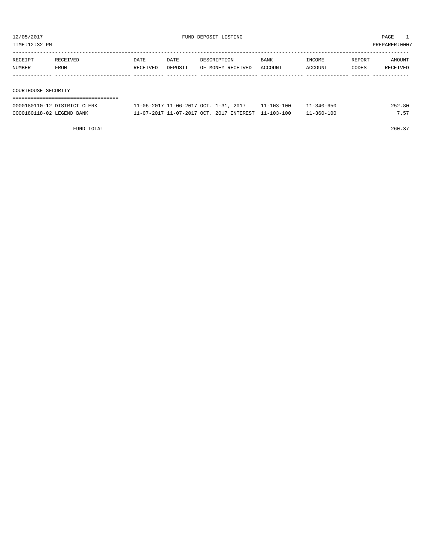TIME:12:32 PM PREPARER:0007

| RECEIPT | RECEIVED            | <b>DATE</b> | DATE    | DESCRIPTION       | <b>BANK</b> | INCOME  | REPORT | AMOUNT   |  |  |
|---------|---------------------|-------------|---------|-------------------|-------------|---------|--------|----------|--|--|
| NUMBER  | FROM                | RECEIVED    | DEPOSIT | OF MONEY RECEIVED | ACCOUNT     | ACCOUNT | CODES  | RECEIVED |  |  |
|         |                     |             |         |                   |             |         |        |          |  |  |
|         |                     |             |         |                   |             |         |        |          |  |  |
|         | COURTHOUSE SECURITY |             |         |                   |             |         |        |          |  |  |
|         |                     |             |         |                   |             |         |        |          |  |  |

| 0000180110-12 DISTRICT CLERK | 11-06-2017 11-06-2017 OCT. 1-31, 2017               | $11 - 103 - 100$ | $11 - 340 - 650$ | 252.80 |
|------------------------------|-----------------------------------------------------|------------------|------------------|--------|
| 0000180118-02 LEGEND BANK    | 11-07-2017 11-07-2017 OCT. 2017 INTEREST 11-103-100 |                  | $11 - 360 - 100$ | 7.57   |

FUND TOTAL 260.37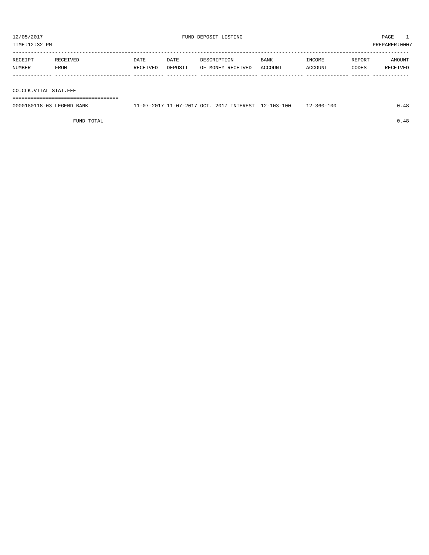TIME:12:32 PM PREPARER:0007

| RECEIPT | RECEIVED | DATE     | DATE    | DESCRIPTION       | <b>BANK</b> | INCOME         | REPORT | AMOUNT   |
|---------|----------|----------|---------|-------------------|-------------|----------------|--------|----------|
| NUMBER  | FROM     | RECEIVED | DEPOSIT | OF MONEY RECEIVED | ACCOUNT     | <b>ACCOUNT</b> | CODES  | RECEIVED |
|         |          |          |         |                   |             |                |        |          |
|         |          |          |         |                   |             |                |        |          |

CO.CLK.VITAL STAT.FEE

===================================

| 0000180118-03 LEGEND BANK |  |  | 11-07-2017 11-07-2017 OCT. 2017 INTEREST 12-103-100 | 12-360-100 | 0.48 |
|---------------------------|--|--|-----------------------------------------------------|------------|------|
|                           |  |  |                                                     |            |      |

FUND TOTAL  $0.48$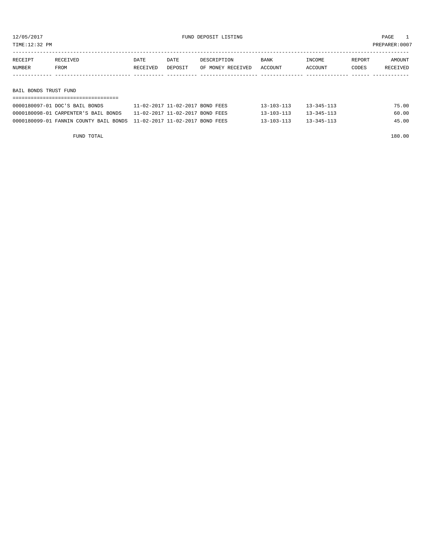TIME:12:32 PM PREPARER:0007

| RECEIPT | RECEIVED | DATE     | DATE    | DESCRIPTION       | BANK    | INCOME  | REPORT | AMOUNT   |
|---------|----------|----------|---------|-------------------|---------|---------|--------|----------|
| NUMBER  | FROM     | RECEIVED | DEPOSIT | OF MONEY RECEIVED | ACCOUNT | ACCOUNT | CODES  | RECEIVED |
|         |          |          |         |                   |         |         |        |          |
|         |          |          |         |                   |         |         |        |          |

BAIL BONDS TRUST FUND

| -------------------------------                                           |                                 |                  |                  |       |  |  |  |  |  |  |
|---------------------------------------------------------------------------|---------------------------------|------------------|------------------|-------|--|--|--|--|--|--|
| 0000180097-01 DOC'S BAIL BONDS                                            | 11-02-2017 11-02-2017 BOND FEES | $13 - 103 - 113$ | $13 - 345 - 113$ | 75.00 |  |  |  |  |  |  |
| 0000180098-01 CARPENTER'S BAIL BONDS                                      | 11-02-2017 11-02-2017 BOND FEES | $13 - 103 - 113$ | $13 - 345 - 113$ | 60.00 |  |  |  |  |  |  |
| 0000180099-01 FANNIN COUNTY BAIL BONDS    11-02-2017 11-02-2017 BOND FEES |                                 | $13 - 103 - 113$ | $13 - 345 - 113$ | 45.00 |  |  |  |  |  |  |

FUND TOTAL 180.00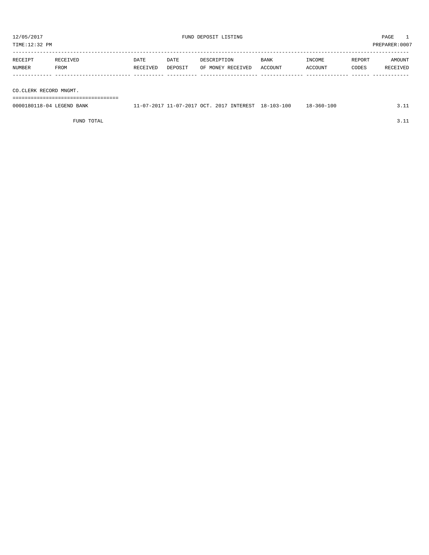| 12/05/2017<br>TIME:12:32 PM |                        |                  |                 | FUND DEPOSIT LISTING             |                 | PAGE<br>PREPARER: 0007 |                 |                    |  |  |
|-----------------------------|------------------------|------------------|-----------------|----------------------------------|-----------------|------------------------|-----------------|--------------------|--|--|
| RECEIPT<br>NUMBER           | RECEIVED<br>FROM       | DATE<br>RECEIVED | DATE<br>DEPOSIT | DESCRIPTION<br>OF MONEY RECEIVED | BANK<br>ACCOUNT | INCOME<br>ACCOUNT      | REPORT<br>CODES | AMOUNT<br>RECEIVED |  |  |
|                             | CO.CLERK RECORD MNGMT. |                  |                 |                                  |                 |                        |                 |                    |  |  |
|                             |                        |                  |                 |                                  |                 |                        |                 |                    |  |  |

0000180118-04 LEGEND BANK 11-07-2017 11-07-2017 OCT. 2017 INTEREST 18-103-100 18-360-100 3.11

FUND TOTAL 3.11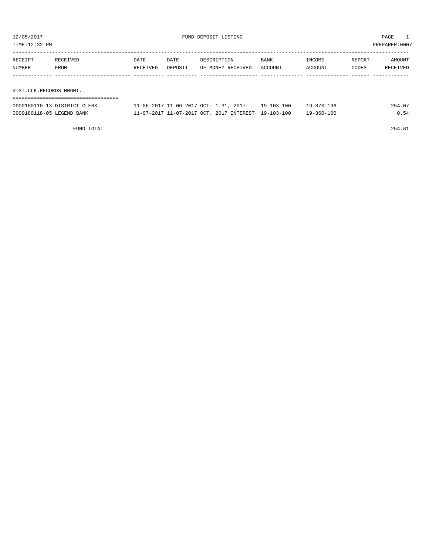TIME:12:32 PM PREPARER:0007

| RECEIPT | RECEIVED                | DATE     | DATE    | DESCRIPTION       | <b>BANK</b> | INCOME  | REPORT | AMOUNT   |
|---------|-------------------------|----------|---------|-------------------|-------------|---------|--------|----------|
| NUMBER  | FROM                    | RECEIVED | DEPOSIT | OF MONEY RECEIVED | ACCOUNT     | ACCOUNT | CODES  | RECEIVED |
|         |                         |          |         |                   |             |         |        |          |
|         |                         |          |         |                   |             |         |        |          |
|         | DIST.CLK.RECORDS MNGMT. |          |         |                   |             |         |        |          |
|         |                         |          |         |                   |             |         |        |          |

| 0000180110-13 DISTRICT CLERK | $1 - 06 - 2017$ $11 - 06 - 2017$ $0CT$ , $1 - 31$ , $2017$ | 19-103-100 | $19 - 370 - 136$ |     |
|------------------------------|------------------------------------------------------------|------------|------------------|-----|
| 0000180118-05 LEGEND BANK    | 11-07-2017 11-07-2017 OCT. 2017 INTEREST                   | 19-103-100 | 19-360-100       | 054 |

FUND TOTAL 254.61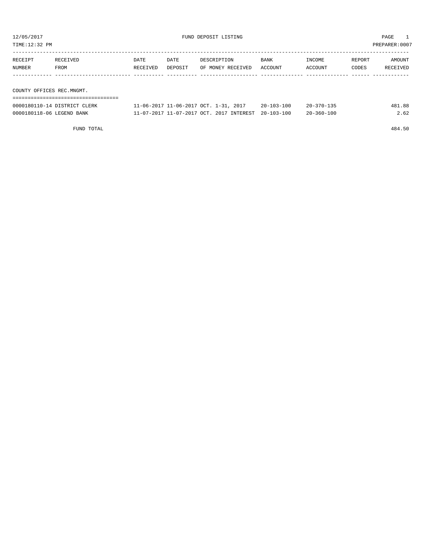| TIME:12:32 PM<br>PREPARER:0007 |                              |          |         |                                       |                  |                  |        |          |
|--------------------------------|------------------------------|----------|---------|---------------------------------------|------------------|------------------|--------|----------|
|                                |                              |          |         |                                       |                  |                  |        |          |
| RECEIPT                        | RECEIVED                     | DATE     | DATE    | DESCRIPTION                           | BANK             | INCOME           | REPORT | AMOUNT   |
| NUMBER                         | FROM                         | RECEIVED | DEPOSIT | OF MONEY RECEIVED                     | ACCOUNT          | ACCOUNT          | CODES  | RECEIVED |
|                                |                              |          |         |                                       |                  |                  |        |          |
|                                |                              |          |         |                                       |                  |                  |        |          |
| COUNTY OFFICES REC.MNGMT.      |                              |          |         |                                       |                  |                  |        |          |
|                                |                              |          |         |                                       |                  |                  |        |          |
|                                | 0000180110-14 DISTRICT CLERK |          |         | 11-06-2017 11-06-2017 OCT. 1-31, 2017 | $20 - 103 - 100$ | $20 - 370 - 135$ |        | 481.88   |

| 0000180118-06 LEGEND BANK | 11-07-2017 11-07-2017 OCT. 2017 INTEREST 20-103-100 |  | $20 - 360 - 100$ | 2.62 |
|---------------------------|-----------------------------------------------------|--|------------------|------|
|                           |                                                     |  |                  |      |

FUND TOTAL 484.50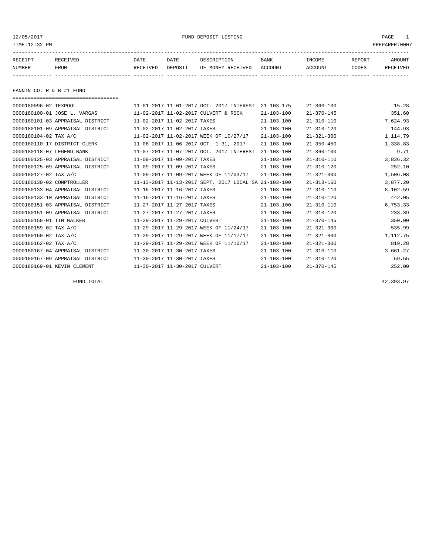12/05/2017 FUND DEPOSIT LISTING PAGE 1

| RECEIPT | RECEIVED | DATE     | DATE    | DESCRIPTION       | <b>BANK</b> | <b>INCOME</b> | REPORT       | <b>AMOUNT</b>   |
|---------|----------|----------|---------|-------------------|-------------|---------------|--------------|-----------------|
| NUMBER  | FROM     | RECEIVED | DEPOSIT | OF MONEY RECEIVED | ACCOUNT     | ACCOUNT       | <b>CODES</b> | <b>RECEIVED</b> |
|         |          |          |         |                   |             |               |              |                 |

FANNIN CO. R & B #1 FUND

| ===================================== |                                                      |                  |                  |          |
|---------------------------------------|------------------------------------------------------|------------------|------------------|----------|
| 0000180096-02 TEXPOOL                 | 11-01-2017 11-01-2017 OCT. 2017 INTEREST             | $21 - 103 - 175$ | $21 - 360 - 100$ | 15.28    |
| 0000180100-01 JOSE L. VARGAS          | 11-02-2017 11-02-2017 CULVERT & ROCK                 | $21 - 103 - 100$ | $21 - 370 - 145$ | 351.60   |
| 0000180101-03 APPRAISAL DISTRICT      | 11-02-2017 11-02-2017 TAXES                          | $21 - 103 - 100$ | $21 - 310 - 110$ | 7,624.93 |
| 0000180101-09 APPRAISAL DISTRICT      | 11-02-2017 11-02-2017 TAXES                          | $21 - 103 - 100$ | $21 - 310 - 120$ | 144.93   |
| 0000180104-02 TAX A/C                 | 11-02-2017 11-02-2017 WEEK OF 10/27/17               | $21 - 103 - 100$ | $21 - 321 - 300$ | 1,114.79 |
| 0000180110-17 DISTRICT CLERK          | 11-06-2017 11-06-2017 OCT. 1-31, 2017                | $21 - 103 - 100$ | $21 - 350 - 450$ | 1,338.83 |
| 0000180118-07 LEGEND BANK             | 11-07-2017 11-07-2017 OCT. 2017 INTEREST             | $21 - 103 - 100$ | $21 - 360 - 100$ | 9.71     |
| 0000180125-03 APPRAISAL DISTRICT      | 11-09-2017 11-09-2017 TAXES                          | $21 - 103 - 100$ | $21 - 310 - 110$ | 3,836.32 |
| 0000180125-09 APPRAISAL DISTRICT      | 11-09-2017 11-09-2017 TAXES                          | $21 - 103 - 100$ | $21 - 310 - 120$ | 252.10   |
| 0000180127-02 TAX A/C                 | 11-09-2017 11-09-2017 WEEK OF 11/03/17               | $21 - 103 - 100$ | $21 - 321 - 300$ | 1,506.08 |
| 0000180130-02 COMPTROLLER             | 11-13-2017 11-13-2017 SEPT. 2017 LOCAL SA 21-103-100 |                  | $21 - 318 - 160$ | 3,877.20 |
| 0000180133-04 APPRAISAL DISTRICT      | 11-16-2017 11-16-2017 TAXES                          | $21 - 103 - 100$ | $21 - 310 - 110$ | 8,102.59 |
| 0000180133-10 APPRAISAL DISTRICT      | 11-16-2017 11-16-2017 TAXES                          | $21 - 103 - 100$ | $21 - 310 - 120$ | 442.05   |
| 0000180151-03 APPRAISAL DISTRICT      | 11-27-2017 11-27-2017 TAXES                          | $21 - 103 - 100$ | $21 - 310 - 110$ | 6,753.33 |
| 0000180151-09 APPRAISAL DISTRICT      | 11-27-2017 11-27-2017 TAXES                          | $21 - 103 - 100$ | $21 - 310 - 120$ | 233.39   |
| 0000180158-01 TIM WALKER              | 11-29-2017 11-29-2017 CULVERT                        | $21 - 103 - 100$ | $21 - 370 - 145$ | 350.00   |
| 0000180159-02 TAX A/C                 | 11-29-2017 11-29-2017 WEEK OF 11/24/17               | $21 - 103 - 100$ | $21 - 321 - 300$ | 535.99   |
| 0000180160-02 TAX A/C                 | 11-29-2017 11-29-2017 WEEK OF 11/17/17               | $21 - 103 - 100$ | $21 - 321 - 300$ | 1,112.75 |
| 0000180162-02 TAX A/C                 | 11-29-2017 11-29-2017 WEEK OF 11/10/17               | $21 - 103 - 100$ | $21 - 321 - 300$ | 819.28   |
| 0000180167-04 APPRAISAL DISTRICT      | 11-30-2017 11-30-2017 TAXES                          | $21 - 103 - 100$ | $21 - 310 - 110$ | 3,661.27 |
| 0000180167-09 APPRAISAL DISTRICT      | 11-30-2017 11-30-2017 TAXES                          | $21 - 103 - 100$ | $21 - 310 - 120$ | 59.55    |
| 0000180169-01 KEVIN CLEMENT           | 11-30-2017 11-30-2017 CULVERT                        | $21 - 103 - 100$ | $21 - 370 - 145$ | 252.00   |
|                                       |                                                      |                  |                  |          |

FUND TOTAL  $42,393.97$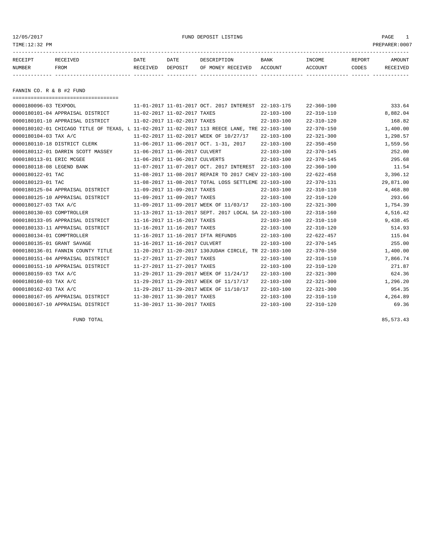### 12/05/2017 FUND DEPOSIT LISTING PAGE 1

| RECEIPT | <b>RECEIVED</b> | DATE            | DATE    | DESCRIPTION       | <b>BANK</b> | <b>INCOME</b> | REPORT | AMOUNT          |
|---------|-----------------|-----------------|---------|-------------------|-------------|---------------|--------|-----------------|
| NUMBER  | FROM            | <b>RECEIVED</b> | DEPOSIT | OF MONEY RECEIVED | ACCOUNT     | ACCOUNT       | CODES  | <b>RECEIVED</b> |
|         |                 |                 |         |                   |             |               |        |                 |

FANNIN CO. R & B #2 FUND

| ===================================== |  |                                                                                                                                                                                                                                                                                                                                                                                                                                                                                                                                                                                                                                                                                                                                                                                                                  |                                                                                                                                                                                                                                                                                                                                                 |                                                                              |
|---------------------------------------|--|------------------------------------------------------------------------------------------------------------------------------------------------------------------------------------------------------------------------------------------------------------------------------------------------------------------------------------------------------------------------------------------------------------------------------------------------------------------------------------------------------------------------------------------------------------------------------------------------------------------------------------------------------------------------------------------------------------------------------------------------------------------------------------------------------------------|-------------------------------------------------------------------------------------------------------------------------------------------------------------------------------------------------------------------------------------------------------------------------------------------------------------------------------------------------|------------------------------------------------------------------------------|
| 0000180096-03 TEXPOOL                 |  |                                                                                                                                                                                                                                                                                                                                                                                                                                                                                                                                                                                                                                                                                                                                                                                                                  |                                                                                                                                                                                                                                                                                                                                                 | 333.64                                                                       |
| 0000180101-04 APPRAISAL DISTRICT      |  | $22 - 103 - 100$                                                                                                                                                                                                                                                                                                                                                                                                                                                                                                                                                                                                                                                                                                                                                                                                 | $22 - 310 - 110$                                                                                                                                                                                                                                                                                                                                | 8,882.04                                                                     |
| 0000180101-10 APPRAISAL DISTRICT      |  | $22 - 103 - 100$                                                                                                                                                                                                                                                                                                                                                                                                                                                                                                                                                                                                                                                                                                                                                                                                 | $22 - 310 - 120$                                                                                                                                                                                                                                                                                                                                | 168.82                                                                       |
|                                       |  |                                                                                                                                                                                                                                                                                                                                                                                                                                                                                                                                                                                                                                                                                                                                                                                                                  | $22 - 370 - 150$                                                                                                                                                                                                                                                                                                                                | 1,400.00                                                                     |
| 0000180104-03 TAX A/C                 |  | $22 - 103 - 100$                                                                                                                                                                                                                                                                                                                                                                                                                                                                                                                                                                                                                                                                                                                                                                                                 | $22 - 321 - 300$                                                                                                                                                                                                                                                                                                                                | 1,298.57                                                                     |
| 0000180110-18 DISTRICT CLERK          |  | $22 - 103 - 100$                                                                                                                                                                                                                                                                                                                                                                                                                                                                                                                                                                                                                                                                                                                                                                                                 | $22 - 350 - 450$                                                                                                                                                                                                                                                                                                                                | 1,559.56                                                                     |
| 0000180112-01 DARRIN SCOTT MASSEY     |  | $22 - 103 - 100$                                                                                                                                                                                                                                                                                                                                                                                                                                                                                                                                                                                                                                                                                                                                                                                                 | $22 - 370 - 145$                                                                                                                                                                                                                                                                                                                                | 252.00                                                                       |
| 0000180113-01 ERIC MCGEE              |  | $22 - 103 - 100$                                                                                                                                                                                                                                                                                                                                                                                                                                                                                                                                                                                                                                                                                                                                                                                                 | $22 - 370 - 145$                                                                                                                                                                                                                                                                                                                                | 295.68                                                                       |
| 0000180118-08 LEGEND BANK             |  | $22 - 103 - 100$                                                                                                                                                                                                                                                                                                                                                                                                                                                                                                                                                                                                                                                                                                                                                                                                 | $22 - 360 - 100$                                                                                                                                                                                                                                                                                                                                | 11.54                                                                        |
| 0000180122-01 TAC                     |  |                                                                                                                                                                                                                                                                                                                                                                                                                                                                                                                                                                                                                                                                                                                                                                                                                  | $22 - 622 - 458$                                                                                                                                                                                                                                                                                                                                | 3,396.12                                                                     |
| 0000180123-01 TAC                     |  |                                                                                                                                                                                                                                                                                                                                                                                                                                                                                                                                                                                                                                                                                                                                                                                                                  | $22 - 370 - 131$                                                                                                                                                                                                                                                                                                                                | 29,871.00                                                                    |
| 0000180125-04 APPRAISAL DISTRICT      |  | $22 - 103 - 100$                                                                                                                                                                                                                                                                                                                                                                                                                                                                                                                                                                                                                                                                                                                                                                                                 | $22 - 310 - 110$                                                                                                                                                                                                                                                                                                                                | 4,468.80                                                                     |
| 0000180125-10 APPRAISAL DISTRICT      |  | $22 - 103 - 100$                                                                                                                                                                                                                                                                                                                                                                                                                                                                                                                                                                                                                                                                                                                                                                                                 | $22 - 310 - 120$                                                                                                                                                                                                                                                                                                                                | 293.66                                                                       |
| 0000180127-03 TAX A/C                 |  | $22 - 103 - 100$                                                                                                                                                                                                                                                                                                                                                                                                                                                                                                                                                                                                                                                                                                                                                                                                 | $22 - 321 - 300$                                                                                                                                                                                                                                                                                                                                | 1,754.39                                                                     |
| 0000180130-03 COMPTROLLER             |  |                                                                                                                                                                                                                                                                                                                                                                                                                                                                                                                                                                                                                                                                                                                                                                                                                  | $22 - 318 - 160$                                                                                                                                                                                                                                                                                                                                | 4,516.42                                                                     |
| 0000180133-05 APPRAISAL DISTRICT      |  | $22 - 103 - 100$                                                                                                                                                                                                                                                                                                                                                                                                                                                                                                                                                                                                                                                                                                                                                                                                 |                                                                                                                                                                                                                                                                                                                                                 | 9,438.45                                                                     |
| 0000180133-11 APPRAISAL DISTRICT      |  | $22 - 103 - 100$                                                                                                                                                                                                                                                                                                                                                                                                                                                                                                                                                                                                                                                                                                                                                                                                 | $22 - 310 - 120$                                                                                                                                                                                                                                                                                                                                | 514.93                                                                       |
| 0000180134-01 COMPTROLLER             |  | $22 - 103 - 100$                                                                                                                                                                                                                                                                                                                                                                                                                                                                                                                                                                                                                                                                                                                                                                                                 | $22 - 622 - 457$                                                                                                                                                                                                                                                                                                                                | 115.04                                                                       |
| 0000180135-01 GRANT SAVAGE            |  | $22 - 103 - 100$                                                                                                                                                                                                                                                                                                                                                                                                                                                                                                                                                                                                                                                                                                                                                                                                 |                                                                                                                                                                                                                                                                                                                                                 | 255.00                                                                       |
| 0000180136-01 FANNIN COUNTY TITLE     |  |                                                                                                                                                                                                                                                                                                                                                                                                                                                                                                                                                                                                                                                                                                                                                                                                                  | $22 - 370 - 150$                                                                                                                                                                                                                                                                                                                                | 1,400.00                                                                     |
| 0000180151-04 APPRAISAL DISTRICT      |  | $22 - 103 - 100$                                                                                                                                                                                                                                                                                                                                                                                                                                                                                                                                                                                                                                                                                                                                                                                                 | $22 - 310 - 110$                                                                                                                                                                                                                                                                                                                                | 7,866.74                                                                     |
| 0000180151-10 APPRAISAL DISTRICT      |  | $22 - 103 - 100$                                                                                                                                                                                                                                                                                                                                                                                                                                                                                                                                                                                                                                                                                                                                                                                                 | $22 - 310 - 120$                                                                                                                                                                                                                                                                                                                                | 271.87                                                                       |
| 0000180159-03 TAX A/C                 |  | $22 - 103 - 100$                                                                                                                                                                                                                                                                                                                                                                                                                                                                                                                                                                                                                                                                                                                                                                                                 | $22 - 321 - 300$                                                                                                                                                                                                                                                                                                                                | 624.36                                                                       |
| 0000180160-03 TAX A/C                 |  | $22 - 103 - 100$                                                                                                                                                                                                                                                                                                                                                                                                                                                                                                                                                                                                                                                                                                                                                                                                 | $22 - 321 - 300$                                                                                                                                                                                                                                                                                                                                | 1,296.20                                                                     |
| 0000180162-03 TAX A/C                 |  | $22 - 103 - 100$                                                                                                                                                                                                                                                                                                                                                                                                                                                                                                                                                                                                                                                                                                                                                                                                 |                                                                                                                                                                                                                                                                                                                                                 | 954.35                                                                       |
| 0000180167-05 APPRAISAL DISTRICT      |  | $22 - 103 - 100$                                                                                                                                                                                                                                                                                                                                                                                                                                                                                                                                                                                                                                                                                                                                                                                                 | $22 - 310 - 110$                                                                                                                                                                                                                                                                                                                                | 4,264.89                                                                     |
| 0000180167-10 APPRAISAL DISTRICT      |  | $22 - 103 - 100$                                                                                                                                                                                                                                                                                                                                                                                                                                                                                                                                                                                                                                                                                                                                                                                                 | $22 - 310 - 120$                                                                                                                                                                                                                                                                                                                                | 69.36                                                                        |
|                                       |  | 11-02-2017 11-02-2017 TAXES<br>11-02-2017 11-02-2017 TAXES<br>11-02-2017 11-02-2017 WEEK OF 10/27/17<br>11-06-2017 11-06-2017 OCT. 1-31, 2017<br>11-06-2017 11-06-2017 CULVERT<br>11-06-2017 11-06-2017 CULVERTS<br>11-07-2017 11-07-2017 OCT. 2017 INTEREST<br>11-08-2017 11-08-2017 REPAIR TO 2017 CHEV<br>11-09-2017 11-09-2017 TAXES<br>11-09-2017 11-09-2017 TAXES<br>11-09-2017 11-09-2017 WEEK OF 11/03/17<br>11-16-2017 11-16-2017 TAXES<br>11-16-2017 11-16-2017 TAXES<br>11-16-2017 11-16-2017 IFTA REFUNDS<br>11-16-2017 11-16-2017 CULVERT<br>11-27-2017 11-27-2017 TAXES<br>11-27-2017 11-27-2017 TAXES<br>11-29-2017 11-29-2017 WEEK OF 11/24/17<br>11-29-2017 11-29-2017 WEEK OF 11/17/17<br>11-29-2017 11-29-2017 WEEK OF 11/10/17<br>11-30-2017 11-30-2017 TAXES<br>11-30-2017 11-30-2017 TAXES | 11-01-2017 11-01-2017 OCT. 2017 INTEREST 22-103-175<br>0000180102-01 CHICAGO TITLE OF TEXAS, L 11-02-2017 11-02-2017 113 REECE LANE, TRE 22-103-100<br>$22 - 103 - 100$<br>11-08-2017 11-08-2017 TOTAL LOSS SETTLEME 22-103-100<br>11-13-2017 11-13-2017 SEPT. 2017 LOCAL SA 22-103-100<br>11-20-2017 11-20-2017 130JUDAH CIRCLE, TR 22-103-100 | $22 - 360 - 100$<br>$22 - 310 - 110$<br>$22 - 370 - 145$<br>$22 - 321 - 300$ |

FUND TOTAL  $85,573.43$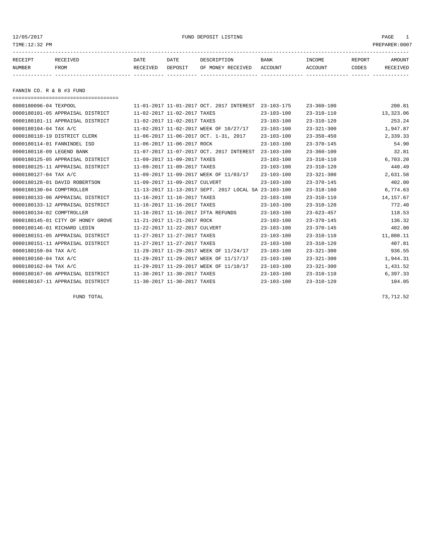### 12/05/2017 FUND DEPOSIT LISTING PAGE 1

| RECEIPT | <b>RECEIVED</b> | DATE            | DATE    | DESCRIPTION       | <b>BANK</b> | INCOME  | REPORT | AMOUNT          |
|---------|-----------------|-----------------|---------|-------------------|-------------|---------|--------|-----------------|
| NUMBER  | FROM            | <b>RECEIVED</b> | DEPOSIT | OF MONEY RECEIVED | ACCOUNT     | ACCOUNT | CODES  | <b>RECEIVED</b> |
|         |                 |                 |         |                   |             |         |        |                 |

FANNIN CO. R & B #3 FUND

| ==================================== |                                                      |                  |                  |            |
|--------------------------------------|------------------------------------------------------|------------------|------------------|------------|
| 0000180096-04 TEXPOOL                | 11-01-2017 11-01-2017 OCT. 2017 INTEREST             | $23 - 103 - 175$ | $23 - 360 - 100$ | 200.81     |
| 0000180101-05 APPRAISAL DISTRICT     | 11-02-2017 11-02-2017 TAXES                          | $23 - 103 - 100$ | $23 - 310 - 110$ | 13,323.06  |
| 0000180101-11 APPRAISAL DISTRICT     | 11-02-2017 11-02-2017 TAXES                          | $23 - 103 - 100$ | $23 - 310 - 120$ | 253.24     |
| 0000180104-04 TAX A/C                | 11-02-2017 11-02-2017 WEEK OF 10/27/17               | $23 - 103 - 100$ | $23 - 321 - 300$ | 1,947.87   |
| 0000180110-19 DISTRICT CLERK         | 11-06-2017 11-06-2017 OCT. 1-31, 2017                | $23 - 103 - 100$ | $23 - 350 - 450$ | 2,339.33   |
| 0000180114-01 FANNINDEL ISD          | 11-06-2017 11-06-2017 ROCK                           | $23 - 103 - 100$ | $23 - 370 - 145$ | 54.90      |
| 0000180118-09 LEGEND BANK            | 11-07-2017 11-07-2017 OCT. 2017 INTEREST             | $23 - 103 - 100$ | $23 - 360 - 100$ | 32.81      |
| 0000180125-05 APPRAISAL DISTRICT     | 11-09-2017 11-09-2017 TAXES                          | $23 - 103 - 100$ | $23 - 310 - 110$ | 6,703.20   |
| 0000180125-11 APPRAISAL DISTRICT     | 11-09-2017 11-09-2017 TAXES                          | $23 - 103 - 100$ | $23 - 310 - 120$ | 440.49     |
| 0000180127-04 TAX A/C                | 11-09-2017 11-09-2017 WEEK OF 11/03/17               | $23 - 103 - 100$ | $23 - 321 - 300$ | 2,631.58   |
| 0000180128-01 DAVID ROBERTSON        | 11-09-2017 11-09-2017 CULVERT                        | $23 - 103 - 100$ | $23 - 370 - 145$ | 402.00     |
| 0000180130-04 COMPTROLLER            | 11-13-2017 11-13-2017 SEPT. 2017 LOCAL SA 23-103-100 |                  | $23 - 318 - 160$ | 6,774.63   |
| 0000180133-06 APPRAISAL DISTRICT     | 11-16-2017 11-16-2017 TAXES                          | $23 - 103 - 100$ | $23 - 310 - 110$ | 14, 157.67 |
| 0000180133-12 APPRAISAL DISTRICT     | 11-16-2017 11-16-2017 TAXES                          | $23 - 103 - 100$ | $23 - 310 - 120$ | 772.40     |
| 0000180134-02 COMPTROLLER            | 11-16-2017 11-16-2017 IFTA REFUNDS                   | $23 - 103 - 100$ | $23 - 623 - 457$ | 118.53     |
| 0000180145-01 CITY OF HONEY GROVE    | 11-21-2017 11-21-2017 ROCK                           | $23 - 103 - 100$ | $23 - 370 - 145$ | 136.32     |
| 0000180146-01 RICHARD LEDIN          | 11-22-2017 11-22-2017 CULVERT                        | $23 - 103 - 100$ | $23 - 370 - 145$ | 402.00     |
| 0000180151-05 APPRAISAL DISTRICT     | 11-27-2017 11-27-2017 TAXES                          | $23 - 103 - 100$ | $23 - 310 - 110$ | 11,800.11  |
| 0000180151-11 APPRAISAL DISTRICT     | 11-27-2017 11-27-2017 TAXES                          | $23 - 103 - 100$ | $23 - 310 - 120$ | 407.81     |
| 0000180159-04 TAX A/C                | 11-29-2017 11-29-2017 WEEK OF 11/24/17               | $23 - 103 - 100$ | $23 - 321 - 300$ | 936.55     |
| 0000180160-04 TAX A/C                | 11-29-2017 11-29-2017 WEEK OF 11/17/17               | $23 - 103 - 100$ | $23 - 321 - 300$ | 1,944.31   |
| 0000180162-04 TAX A/C                | 11-29-2017 11-29-2017 WEEK OF 11/10/17               | $23 - 103 - 100$ | $23 - 321 - 300$ | 1,431.52   |
| 0000180167-06 APPRAISAL DISTRICT     | 11-30-2017 11-30-2017 TAXES                          | $23 - 103 - 100$ | $23 - 310 - 110$ | 6,397.33   |
| 0000180167-11 APPRAISAL DISTRICT     | 11-30-2017 11-30-2017 TAXES                          | $23 - 103 - 100$ | $23 - 310 - 120$ | 104.05     |

FUND TOTAL 73,712.52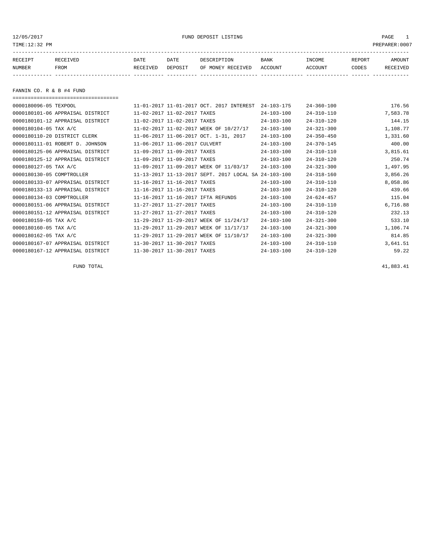12/05/2017 FUND DEPOSIT LISTING PAGE 1

| RECEIPT | <b>RECEIVED</b> | DATE     | DATE    | DESCRIPTION          | <b>BANK</b> | <b>INCOME</b> | REPORT | AMOUNT          |
|---------|-----------------|----------|---------|----------------------|-------------|---------------|--------|-----------------|
| NUMBER  | FROM            | RECEIVED | DEPOSIT | RECEIVED<br>OF MONEY | ACCOUNT     | CCOUNT        | CODES  | <b>RECEIVED</b> |
|         |                 |          |         |                      |             |               |        |                 |

FANNIN CO. R & B #4 FUND

| ,,,,,,,,,,,,,,,,,,,,,,,,,,,,,,,,,,,,, |                                                      |                  |                  |          |
|---------------------------------------|------------------------------------------------------|------------------|------------------|----------|
| 0000180096-05 TEXPOOL                 | 11-01-2017 11-01-2017 OCT. 2017 INTEREST             | $24 - 103 - 175$ | $24 - 360 - 100$ | 176.56   |
| 0000180101-06 APPRAISAL DISTRICT      | 11-02-2017 11-02-2017 TAXES                          | $24 - 103 - 100$ | $24 - 310 - 110$ | 7,583.78 |
| 0000180101-12 APPRAISAL DISTRICT      | 11-02-2017 11-02-2017 TAXES                          | $24 - 103 - 100$ | $24 - 310 - 120$ | 144.15   |
| 0000180104-05 TAX A/C                 | 11-02-2017 11-02-2017 WEEK OF 10/27/17               | $24 - 103 - 100$ | $24 - 321 - 300$ | 1,108.77 |
| 0000180110-20 DISTRICT CLERK          | 11-06-2017 11-06-2017 OCT. 1-31, 2017                | $24 - 103 - 100$ | $24 - 350 - 450$ | 1,331.60 |
| 0000180111-01 ROBERT D. JOHNSON       | 11-06-2017 11-06-2017 CULVERT                        | $24 - 103 - 100$ | $24 - 370 - 145$ | 400.00   |
| 0000180125-06 APPRAISAL DISTRICT      | 11-09-2017 11-09-2017 TAXES                          | $24 - 103 - 100$ | $24 - 310 - 110$ | 3,815.61 |
| 0000180125-12 APPRAISAL DISTRICT      | 11-09-2017 11-09-2017 TAXES                          | $24 - 103 - 100$ | $24 - 310 - 120$ | 250.74   |
| 0000180127-05 TAX A/C                 | 11-09-2017 11-09-2017 WEEK OF 11/03/17               | $24 - 103 - 100$ | $24 - 321 - 300$ | 1,497.95 |
| 0000180130-05 COMPTROLLER             | 11-13-2017 11-13-2017 SEPT. 2017 LOCAL SA 24-103-100 |                  | $24 - 318 - 160$ | 3,856.26 |
| 0000180133-07 APPRAISAL DISTRICT      | 11-16-2017 11-16-2017 TAXES                          | $24 - 103 - 100$ | $24 - 310 - 110$ | 8,058.86 |
| 0000180133-13 APPRAISAL DISTRICT      | 11-16-2017 11-16-2017 TAXES                          | $24 - 103 - 100$ | $24 - 310 - 120$ | 439.66   |
| 0000180134-03 COMPTROLLER             | 11-16-2017 11-16-2017 IFTA REFUNDS                   | $24 - 103 - 100$ | $24 - 624 - 457$ | 115.04   |
| 0000180151-06 APPRAISAL DISTRICT      | 11-27-2017 11-27-2017 TAXES                          | $24 - 103 - 100$ | $24 - 310 - 110$ | 6,716.88 |
| 0000180151-12 APPRAISAL DISTRICT      | 11-27-2017 11-27-2017 TAXES                          | $24 - 103 - 100$ | $24 - 310 - 120$ | 232.13   |
| 0000180159-05 TAX A/C                 | 11-29-2017 11-29-2017 WEEK OF 11/24/17               | $24 - 103 - 100$ | $24 - 321 - 300$ | 533.10   |
| 0000180160-05 TAX A/C                 | 11-29-2017 11-29-2017 WEEK OF 11/17/17               | $24 - 103 - 100$ | $24 - 321 - 300$ | 1,106.74 |
| 0000180162-05 TAX A/C                 | 11-29-2017 11-29-2017 WEEK OF 11/10/17               | $24 - 103 - 100$ | $24 - 321 - 300$ | 814.85   |
| 0000180167-07 APPRAISAL DISTRICT      | 11-30-2017 11-30-2017 TAXES                          | $24 - 103 - 100$ | $24 - 310 - 110$ | 3,641.51 |
| 0000180167-12 APPRAISAL DISTRICT      | 11-30-2017 11-30-2017 TAXES                          | $24 - 103 - 100$ | $24 - 310 - 120$ | 59.22    |

FUND TOTAL  $41,883.41$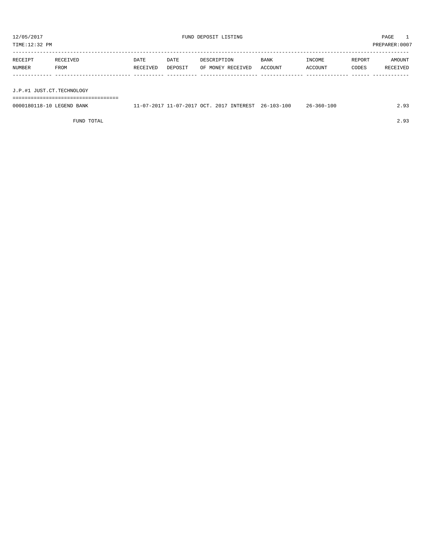TIME:12:32 PM PREPARER:0007 ----------------------------------------------------------------------------------------------------------------------------------- RECEIPT RECEIVED DATE DATE DESCRIPTION BANK INCOME REPORT AMOUNT

| NUMBER | FROM                      | RECEIVED | DEPOSIT |  | OF MONEY RECEIVED ACCOUNT |  | ACCOUNT | CODES | <b>RECEIVED</b> |  |
|--------|---------------------------|----------|---------|--|---------------------------|--|---------|-------|-----------------|--|
|        |                           |          |         |  |                           |  |         |       |                 |  |
|        | J.P.#1 JUST.CT.TECHNOLOGY |          |         |  |                           |  |         |       |                 |  |
|        |                           |          |         |  |                           |  |         |       |                 |  |

| 0000180118-10 LEGEND BANK | 11-07-2017 11-07-2017 OCT. 2017 INTEREST 26-103-100 |  | 26-360-100 | 2.93 |
|---------------------------|-----------------------------------------------------|--|------------|------|
|                           |                                                     |  |            |      |

FUND TOTAL 2.93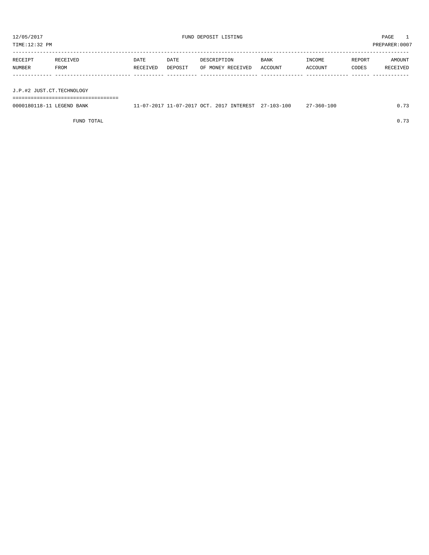| PREPARER: 0007<br>TIME:12:32 PM |                  |                  |                 |                                  |                 |                   |                 |                    |  |
|---------------------------------|------------------|------------------|-----------------|----------------------------------|-----------------|-------------------|-----------------|--------------------|--|
| RECEIPT<br>NUMBER               | RECEIVED<br>FROM | DATE<br>RECEIVED | DATE<br>DEPOSIT | DESCRIPTION<br>OF MONEY RECEIVED | BANK<br>ACCOUNT | INCOME<br>ACCOUNT | REPORT<br>CODES | AMOUNT<br>RECEIVED |  |
|                                 |                  |                  |                 |                                  |                 |                   |                 |                    |  |
| J.P.#2 JUST.CT.TECHNOLOGY       |                  |                  |                 |                                  |                 |                   |                 |                    |  |

===================================

0000180118-11 LEGEND BANK 11-07-2017 11-07-2017 OCT. 2017 INTEREST 27-103-100 27-360-100 0.73

FUND TOTAL  $0.73$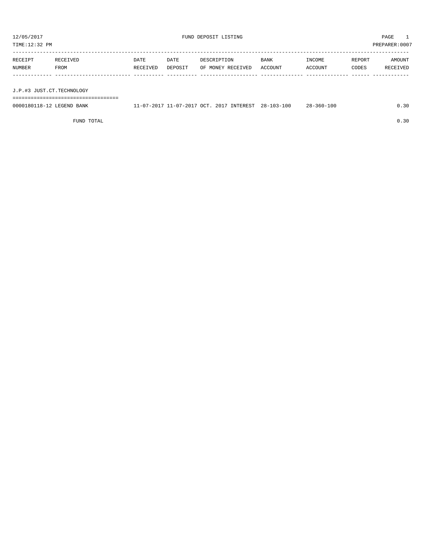TIME:12:32 PM PREPARER:0007 ----------------------------------------------------------------------------------------------------------------------------------- RECEIPT RECEIVED DATE DATE DESCRIPTION BANK INCOME REPORT AMOUNT

| RECEIPT       | RECEIVED | DATE     | DATE    | DESCRIPTION             | BANK    | INCOME  | REPORT | AMOUNT        |
|---------------|----------|----------|---------|-------------------------|---------|---------|--------|---------------|
| <b>NUMBER</b> | FROM     | RECEIVED | DEPOSIT | RECEIVED<br>MONEY<br>OF | ACCOUNT | ACCOUNT | CODES  | CEIVED<br>REC |
|               |          |          |         |                         |         |         |        |               |
|               |          |          |         |                         |         |         |        |               |

J.P.#3 JUST.CT.TECHNOLOGY

===================================

| 0000180118-12 LEGEND BANK |  | 11-07-2017 11-07-2017 OCT. 2017 INTEREST 28-103-100 | $28 - 360 - 100$ |  |
|---------------------------|--|-----------------------------------------------------|------------------|--|
|                           |  |                                                     |                  |  |

FUND TOTAL  $0.30$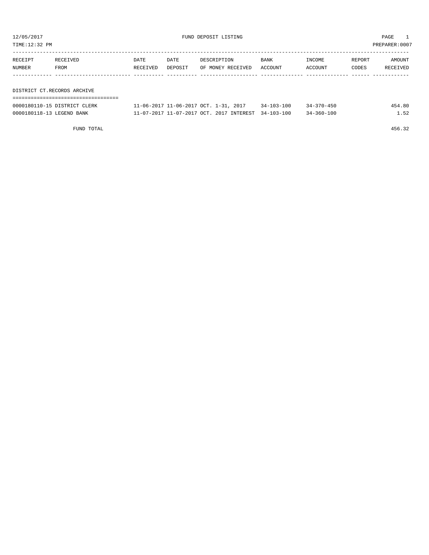TIME:12:32 PM PREPARER:0007

| RECEIPT | RECEIVED                    | DATE     | DATE    | DESCRIPTION       | BANK    | INCOME  | REPORT | AMOUNT   |  |  |
|---------|-----------------------------|----------|---------|-------------------|---------|---------|--------|----------|--|--|
| NUMBER  | FROM                        | RECEIVED | DEPOSIT | OF MONEY RECEIVED | ACCOUNT | ACCOUNT | CODES  | RECEIVED |  |  |
|         |                             |          |         |                   |         |         |        |          |  |  |
|         |                             |          |         |                   |         |         |        |          |  |  |
|         | DISTRICT CT.RECORDS ARCHIVE |          |         |                   |         |         |        |          |  |  |
|         |                             |          |         |                   |         |         |        |          |  |  |

| 0000180110-15 DISTRICT CLERK | 11-06-2017 11-06-2017 OCT. 1-31, 2017               | 34-103-100 | $34 - 370 - 450$ | 454.80 |
|------------------------------|-----------------------------------------------------|------------|------------------|--------|
| 0000180118-13 LEGEND BANK    | 11-07-2017 11-07-2017 OCT. 2017 INTEREST 34-103-100 |            | $34 - 360 - 100$ | . . 52 |

FUND TOTAL 456.32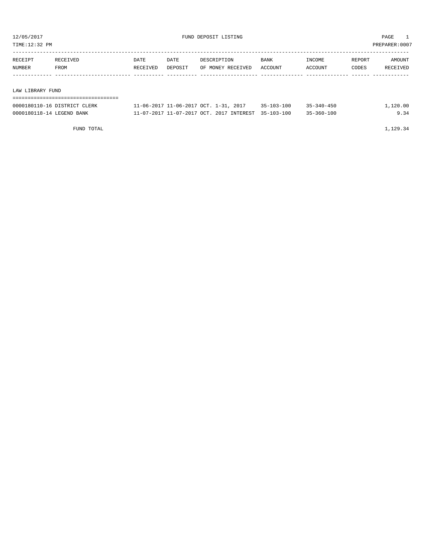TIME:12:32 PM PREPARER:0007

| RECEIPT | RECEIVED         | DATE     | DATE    | DESCRIPTION       | BANK    | INCOME  | REPORT | AMOUNT   |  |  |
|---------|------------------|----------|---------|-------------------|---------|---------|--------|----------|--|--|
| NUMBER  | FROM             | RECEIVED | DEPOSIT | OF MONEY RECEIVED | ACCOUNT | ACCOUNT | CODES  | RECEIVED |  |  |
|         |                  |          |         |                   |         |         |        |          |  |  |
|         |                  |          |         |                   |         |         |        |          |  |  |
|         | LAW LIBRARY FUND |          |         |                   |         |         |        |          |  |  |
|         |                  |          |         |                   |         |         |        |          |  |  |

| 0000180110-16 DISTRICT CLERK | 11-06-2017 11-06-2017 OCT. 1-31, 2017               | $35 - 103 - 100$ | $35 - 340 - 450$ | 1,120.00 |
|------------------------------|-----------------------------------------------------|------------------|------------------|----------|
| 0000180118-14 LEGEND BANK    | 11-07-2017 11-07-2017 OCT, 2017 INTEREST 35-103-100 |                  | $35 - 360 - 100$ | 9.34     |

FUND TOTAL  $1,129.34$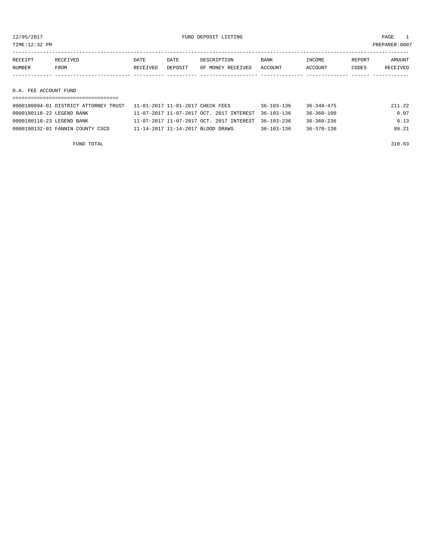12/05/2017 FUND DEPOSIT LISTING PAGE 1

| RECEIPT | RECEIVED    | DATE     | DATE    | DESCRIPTION       | BANK    | INCOME  | REPORT | AMOUNT          |
|---------|-------------|----------|---------|-------------------|---------|---------|--------|-----------------|
| NUMBER  | <b>FROM</b> | RECEIVED | DEPOSIT | OF MONEY RECEIVED | ACCOUNT | ACCOUNT | CODES  | <b>RECEIVED</b> |
|         |             |          |         |                   |         |         |        |                 |

D.A. FEE ACCOUNT FUND

| 0000180094-01 DISTRICT ATTORNEY TRUST                    11-01-2017 11-01-2017 CHECK FEES |                                                     | $36 - 103 - 136$ | 36-340-475       | 211.22 |
|-------------------------------------------------------------------------------------------|-----------------------------------------------------|------------------|------------------|--------|
| 0000180118-22 LEGEND BANK                                                                 | 11-07-2017 11-07-2017 OCT. 2017 INTEREST 36-103-136 |                  | $36 - 360 - 100$ | 0.07   |
| 0000180118-23 LEGEND BANK                                                                 | 11-07-2017 11-07-2017 OCT. 2017 INTEREST 36-103-236 |                  | $36 - 360 - 236$ | 0.13   |
| 0000180132-01 FANNIN COUNTY CSCD                                                          | 11-14-2017 11-14-2017 BLOOD DRAWS                   | $36 - 103 - 136$ | $36 - 370 - 130$ | 99.21  |

FUND TOTAL 310.63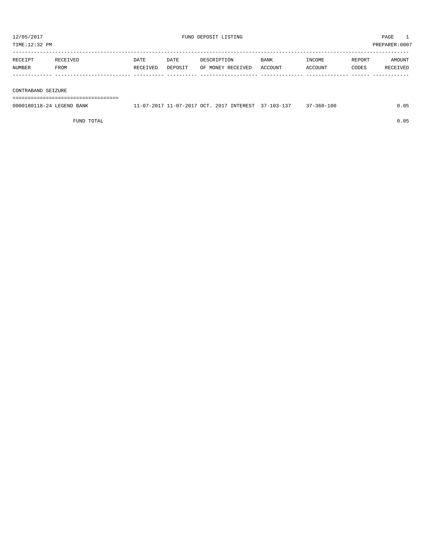| TIME:12:32 PM      |          |          |         |                   |         |         |        | PREPARER: 0007 |
|--------------------|----------|----------|---------|-------------------|---------|---------|--------|----------------|
| RECEIPT            | RECEIVED | DATE     | DATE    | DESCRIPTION       | BANK    | INCOME  | REPORT | AMOUNT         |
| NUMBER             | FROM     | RECEIVED | DEPOSIT | OF MONEY RECEIVED | ACCOUNT | ACCOUNT | CODES  | RECEIVED       |
|                    |          |          |         |                   |         |         |        |                |
| CONTRABAND SEIZURE |          |          |         |                   |         |         |        |                |

===================================

| 0000180118-24 LEGEND BANK | 11-07-2017 11-07-2017 OCT. 2017 INTEREST 37-103-137 |  | $37 - 360 - 100$ | 0.05 |
|---------------------------|-----------------------------------------------------|--|------------------|------|
|                           |                                                     |  |                  |      |

FUND TOTAL 0.05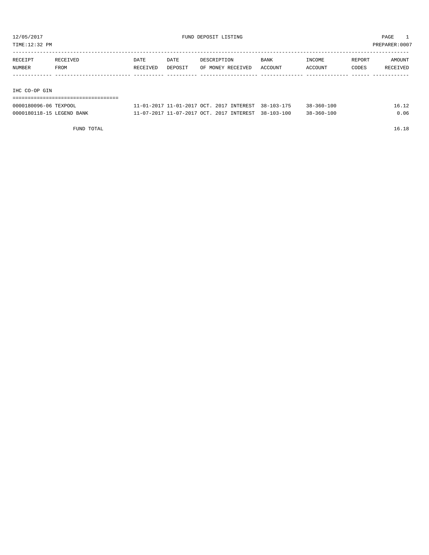TIME:12:32 PM PREPARER:0007

| RECEIPT       | RECEIVED | DATE     | DATE    | DESCRIPTION       | BANK    | INCOME  | REPORT | AMOUNT   |
|---------------|----------|----------|---------|-------------------|---------|---------|--------|----------|
| NUMBER        | FROM     | RECEIVED | DEPOSIT | OF MONEY RECEIVED | ACCOUNT | ACCOUNT | CODES  | RECEIVED |
|               |          |          |         |                   |         |         |        |          |
|               |          |          |         |                   |         |         |        |          |
| IHC CO-OP GIN |          |          |         |                   |         |         |        |          |

| ------------------------------------ |  |  |                                                     |                  |       |
|--------------------------------------|--|--|-----------------------------------------------------|------------------|-------|
| 0000180096-06 TEXPOOL                |  |  | 11-01-2017 11-01-2017 OCT. 2017 INTEREST 38-103-175 | $38 - 360 - 100$ | 16.12 |
| 0000180118-15 LEGEND BANK            |  |  | 11-07-2017 11-07-2017 OCT. 2017 INTEREST 38-103-100 | $38 - 360 - 100$ | 0.06  |

FUND TOTAL 16.18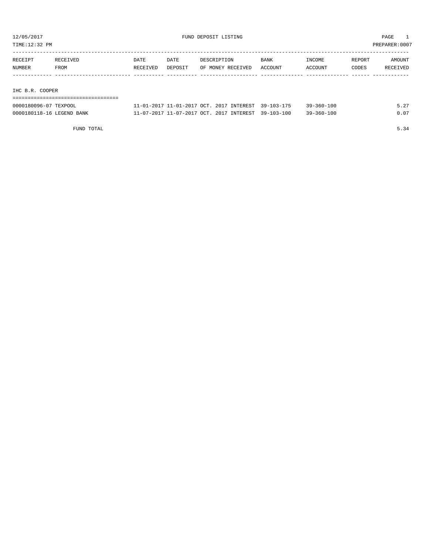TIME:12:32 PM PREPARER:0007

| RECEIPT | RECEIVED | DATE     | DATE    | DESCRIPTION       | <b>BANK</b> | INCOME  | REPORT | AMOUNT   |
|---------|----------|----------|---------|-------------------|-------------|---------|--------|----------|
| NUMBER  | FROM     | RECEIVED | DEPOSIT | OF MONEY RECEIVED | ACCOUNT     | ACCOUNT | CODES  | RECEIVED |
|         |          |          |         |                   |             |         |        |          |
|         |          |          |         |                   |             |         |        |          |
|         |          |          |         |                   |             |         |        |          |

IHC B.R. COOPER

| -------------------------------------<br>-------------------------------------- |  |  |  |  |  |  |  |  |  |  |  |  |  |  |  |  |
|---------------------------------------------------------------------------------|--|--|--|--|--|--|--|--|--|--|--|--|--|--|--|--|
|                                                                                 |  |  |  |  |  |  |  |  |  |  |  |  |  |  |  |  |
|                                                                                 |  |  |  |  |  |  |  |  |  |  |  |  |  |  |  |  |
|                                                                                 |  |  |  |  |  |  |  |  |  |  |  |  |  |  |  |  |

| 0000180096-07 TEXPOOL     | 11-01-2017 11-01-2017 OCT. 2017 INTEREST 39-103-175 |  | $39 - 360 - 100$ | 5.27 |
|---------------------------|-----------------------------------------------------|--|------------------|------|
| 0000180118-16 LEGEND BANK | 11-07-2017 11-07-2017 OCT. 2017 INTEREST 39-103-100 |  | $39 - 360 - 100$ | 0.07 |

FUND TOTAL 5.34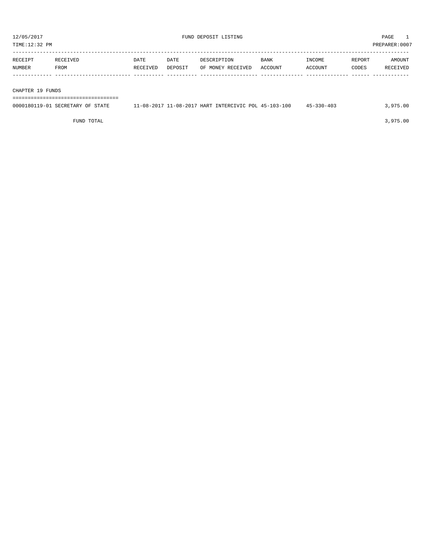| TIME:12:32 PM     |                  |                  |                 |                                  |                        |                   |                 | PREPARER:0007             |
|-------------------|------------------|------------------|-----------------|----------------------------------|------------------------|-------------------|-----------------|---------------------------|
| RECEIPT<br>NUMBER | RECEIVED<br>FROM | DATE<br>RECEIVED | DATE<br>DEPOSIT | DESCRIPTION<br>OF MONEY RECEIVED | <b>BANK</b><br>ACCOUNT | INCOME<br>ACCOUNT | REPORT<br>CODES | <b>AMOUNT</b><br>RECEIVED |
| CHAPTER 19 FUNDS  |                  |                  |                 |                                  |                        |                   |                 |                           |

===================================

| 0000180119-01 SECRETARY OF STATE | 11-08-2017 11-08-2017 HART INTERCIVIC POL 45-103-100 | $45 - 330 - 403$ | .975.00 |
|----------------------------------|------------------------------------------------------|------------------|---------|
|                                  |                                                      |                  |         |

FUND TOTAL 3,975.00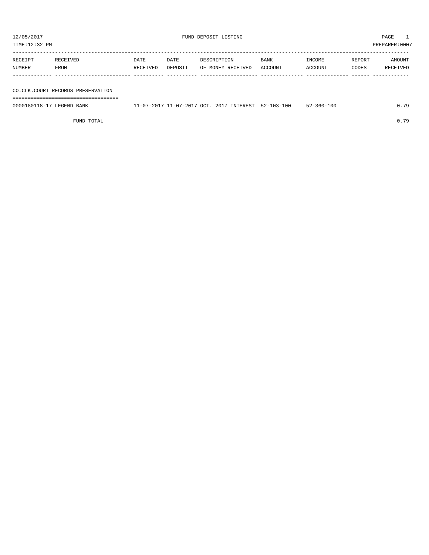TIME:12:32 PM PREPARER:0007

| RECEIPT | RECEIVED | DATE     | DATE    | DESCRIPTION       | <b>BANK</b> | INCOME  | REPORT | AMOUNT   |
|---------|----------|----------|---------|-------------------|-------------|---------|--------|----------|
| NUMBER  | FROM     | RECEIVED | DEPOSIT | OF MONEY RECEIVED | ACCOUNT     | ACCOUNT | CODES  | RECEIVED |
|         |          |          |         |                   |             |         |        |          |
|         |          |          |         |                   |             |         |        |          |
|         |          |          |         |                   |             |         |        |          |

CO.CLK.COURT RECORDS PRESERVATION

===================================

| 000018011<br><sup>T</sup> EGEND.<br>BANK<br>$K -$ | OCT<br>-07-2017<br>$\sim$<br>201<br>$\mathbf{1} - \mathbf{1}$ | <b>INTEREST</b><br>201<br>$52 - 103 - 100$<br><b>EQ 102</b> | -100<br>-360-1<br>$\Delta L =$ | 70 |
|---------------------------------------------------|---------------------------------------------------------------|-------------------------------------------------------------|--------------------------------|----|
|                                                   |                                                               |                                                             |                                |    |

FUND TOTAL 0.79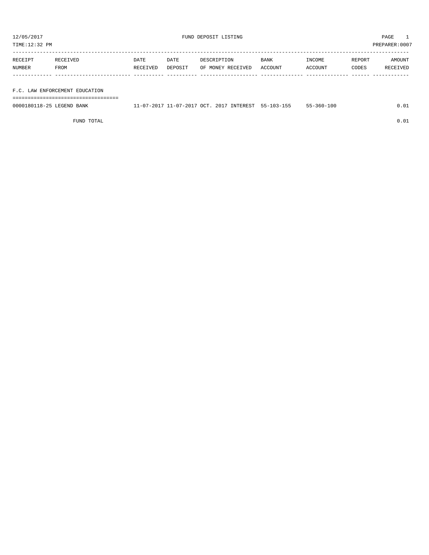TIME:12:32 PM PREPARER:0007

| RECEIPT | RECEIVED | DATE     | DATE    | DESCRIPTION       | <b>BANK</b> | INCOME  | REPORT | AMOUNT   |
|---------|----------|----------|---------|-------------------|-------------|---------|--------|----------|
| NUMBER  | FROM     | RECEIVED | DEPOSIT | OF MONEY RECEIVED | ACCOUNT     | ACCOUNT | CODES  | RECEIVED |
|         |          |          |         |                   |             |         |        |          |

F.C. LAW ENFORCEMENT EDUCATION

===================================

| 0000180118-25 LEGEND BANK | 11-07-2017 11-07-2017 OCT. 2017 INTEREST 55-103-155 |  | 55-360-100 | 0.01 |
|---------------------------|-----------------------------------------------------|--|------------|------|
|                           |                                                     |  |            |      |

FUND TOTAL  $0.01$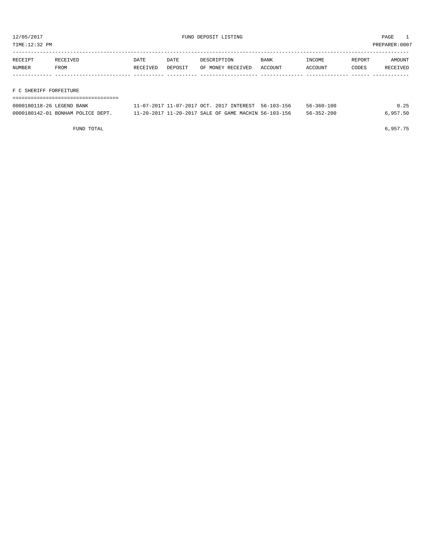TIME:12:32 PM PREPARER:0007

| RECEIPT | RECEIVED    | DATE     | DATE    | DESCRIPTION       | <b>BANK</b> | INCOME  | REPORT | AMOUNT   |
|---------|-------------|----------|---------|-------------------|-------------|---------|--------|----------|
| NUMBER  | <b>FROM</b> | RECEIVED | DEPOSIT | OF MONEY RECEIVED | ACCOUNT     | ACCOUNT | CODES  | RECEIVED |
|         |             |          |         |                   |             |         |        |          |
|         |             |          |         |                   |             |         |        |          |

### F C SHERIFF FORFEITURE

| 0000180118-26 LEGEND BANK         | 11-07-2017 11-07-2017 OCT. 2017 INTEREST 56-103-156  | $56 - 360 - 100$ | 0.25     |
|-----------------------------------|------------------------------------------------------|------------------|----------|
| 0000180142-01 BONHAM POLICE DEPT. | 11-20-2017 11-20-2017 SALE OF GAME MACHIN 56-103-156 | $56 - 352 - 200$ | 6,957.50 |

FUND TOTAL 6,957.75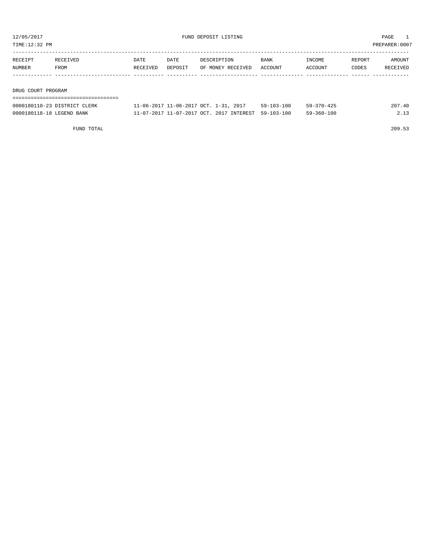TIME:12:32 PM PREPARER:0007

| RECEIPT | RECEIVED | DATE     | DATE    | DESCRIPTION       | <b>BANK</b> | INCOME  | REPORT | AMOUNT   |
|---------|----------|----------|---------|-------------------|-------------|---------|--------|----------|
| NUMBER  | FROM     | RECEIVED | DEPOSIT | OF MONEY RECEIVED | ACCOUNT     | ACCOUNT | CODES  | RECEIVED |
|         |          |          |         |                   |             |         |        |          |
|         |          |          |         |                   |             |         |        |          |

DRUG COURT PROGRAM

#### ===================================

| 0000180110-23 DISTRICT CLERK | 11-06-2017 11-06-2017 OCT. 1-31, 2017               | $59 - 103 - 100$ | $59 - 370 - 425$ | 207.40 |
|------------------------------|-----------------------------------------------------|------------------|------------------|--------|
| 0000180118-18 LEGEND BANK    | 11-07-2017 11-07-2017 OCT. 2017 INTEREST 59-103-100 |                  | $59 - 360 - 100$ |        |

FUND TOTAL 209.53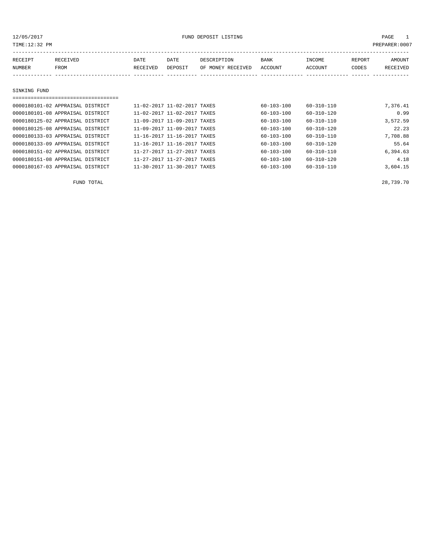12/05/2017 PAGE 1

| TIME:12:32 PM |                                  |          |                             |                   |                  |                  |        | PREPARER: 0007 |
|---------------|----------------------------------|----------|-----------------------------|-------------------|------------------|------------------|--------|----------------|
| RECEIPT       | RECEIVED                         | DATE     | DATE                        | DESCRIPTION       | BANK             | INCOME           | REPORT | AMOUNT         |
| NUMBER        | FROM                             | RECEIVED | DEPOSIT                     | OF MONEY RECEIVED | ACCOUNT          | ACCOUNT          | CODES  | RECEIVED       |
|               |                                  |          |                             |                   |                  |                  |        |                |
| SINKING FUND  |                                  |          |                             |                   |                  |                  |        |                |
|               |                                  |          |                             |                   |                  |                  |        |                |
|               | 0000180101-02 APPRAISAL DISTRICT |          | 11-02-2017 11-02-2017 TAXES |                   | 60-103-100       | 60-310-110       |        | 7,376.41       |
|               | 0000180101-08 APPRAISAL DISTRICT |          | 11-02-2017 11-02-2017 TAXES |                   | $60 - 103 - 100$ | $60 - 310 - 120$ |        | 0.99           |
|               | 0000180125-02 APPRAISAL DISTRICT |          | 11-09-2017 11-09-2017 TAXES |                   | 60-103-100       | 60-310-110       |        | 3,572.59       |
|               | 0000180125-08 APPRAISAL DISTRICT |          | 11-09-2017 11-09-2017 TAXES |                   | 60-103-100       | 60-310-120       |        | 22.23          |
|               | 0000180133-03 APPRAISAL DISTRICT |          | 11-16-2017 11-16-2017 TAXES |                   | $60 - 103 - 100$ | $60 - 310 - 110$ |        | 7,708.88       |
|               | 0000180133-09 APPRAISAL DISTRICT |          | 11-16-2017 11-16-2017 TAXES |                   | 60-103-100       | 60-310-120       |        | 55.64          |
|               | 0000180151-02 APPRAISAL DISTRICT |          | 11-27-2017 11-27-2017 TAXES |                   | 60-103-100       | 60-310-110       |        | 6,394.63       |
|               | 0000180151-08 APPRAISAL DISTRICT |          | 11-27-2017 11-27-2017 TAXES |                   | $60 - 103 - 100$ | $60 - 310 - 120$ |        | 4.18           |

0000180167-03 APPRAISAL DISTRICT 11-30-2017 11-30-2017 TAXES 60-103-100 60-310-110 3,604.15

FUND TOTAL 28,739.70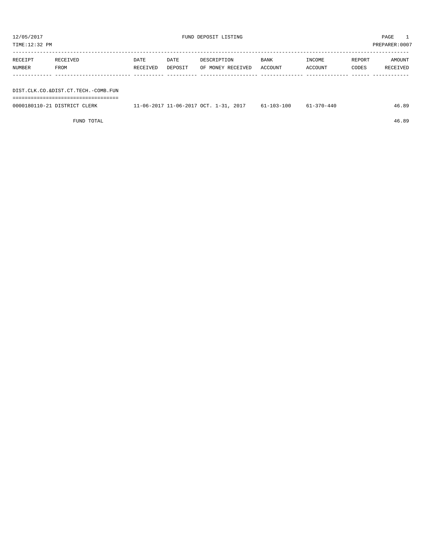| TIME:12:32 PM     |                  |                  |                 |                                  |                        |                   |                 | PREPARER:0007      |
|-------------------|------------------|------------------|-----------------|----------------------------------|------------------------|-------------------|-----------------|--------------------|
| RECEIPT<br>NUMBER | RECEIVED<br>FROM | DATE<br>RECEIVED | DATE<br>DEPOSIT | DESCRIPTION<br>OF MONEY RECEIVED | <b>BANK</b><br>ACCOUNT | INCOME<br>ACCOUNT | REPORT<br>CODES | AMOUNT<br>RECEIVED |
|                   |                  |                  |                 |                                  |                        |                   |                 |                    |

DIST.CLK.CO.&DIST.CT.TECH.-COMB.FUN ===================================

0000180110-21 DISTRICT CLERK 11-06-2017 11-06-2017 OCT. 1-31, 2017 61-103-100 61-370-440 46.89

FUND TOTAL 46.89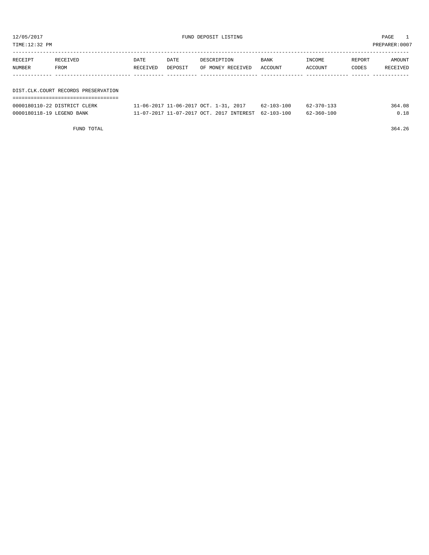| TIME:12:32 PM |                                     |          |                                       |                   |            |                  |        | PREPARER:0007 |
|---------------|-------------------------------------|----------|---------------------------------------|-------------------|------------|------------------|--------|---------------|
| RECEIPT       | RECEIVED                            | DATE     | DATE                                  | DESCRIPTION       | BANK       | INCOME           | REPORT | AMOUNT        |
| NUMBER        | FROM                                | RECEIVED | DEPOSIT                               | OF MONEY RECEIVED | ACCOUNT    | ACCOUNT          | CODES  | RECEIVED      |
|               | DIST.CLK.COURT RECORDS PRESERVATION |          |                                       |                   |            |                  |        |               |
|               |                                     |          |                                       |                   |            |                  |        |               |
|               | 0000180110-22 DISTRICT CLERK        |          | 11-06-2017 11-06-2017 OCT. 1-31, 2017 |                   | 62-103-100 | $62 - 370 - 133$ |        | 364.08        |

0000180118-19 LEGEND BANK  $11-07-2017$  11-07-2017 OCT. 2017 INTEREST 62-103-100 62-360-100 0.18

FUND TOTAL 364.26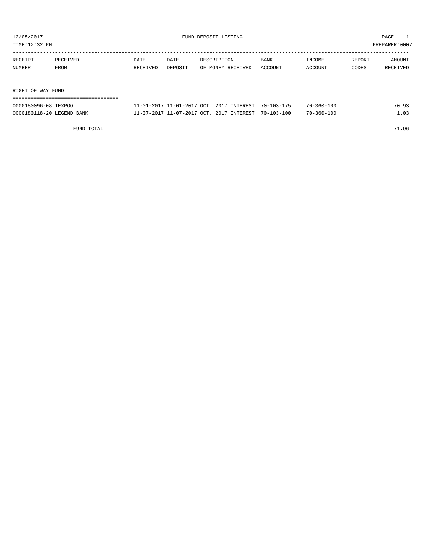TIME:12:32 PM PREPARER:0007

| RECEIPT | RECEIVED          | DATE     | DATE    | DESCRIPTION       | BANK    | INCOME  | REPORT | AMOUNT   |  |
|---------|-------------------|----------|---------|-------------------|---------|---------|--------|----------|--|
| NUMBER  | FROM              | RECEIVED | DEPOSIT | OF MONEY RECEIVED | ACCOUNT | ACCOUNT | CODES  | RECEIVED |  |
|         |                   |          |         |                   |         |         |        |          |  |
|         |                   |          |         |                   |         |         |        |          |  |
|         | RIGHT OF WAY FUND |          |         |                   |         |         |        |          |  |
|         |                   |          |         |                   |         |         |        |          |  |

| 0000180096-08 TEXPOOL     | 11-01-2017 11-01-2017 OCT. 2017 INTEREST 70-103-175 | $70 - 360 - 100$ | 70.93 |
|---------------------------|-----------------------------------------------------|------------------|-------|
| 0000180118-20 LEGEND BANK | 11-07-2017 11-07-2017 OCT. 2017 INTEREST 70-103-100 | $70 - 360 - 100$ | 1.03  |

FUND TOTAL 71.96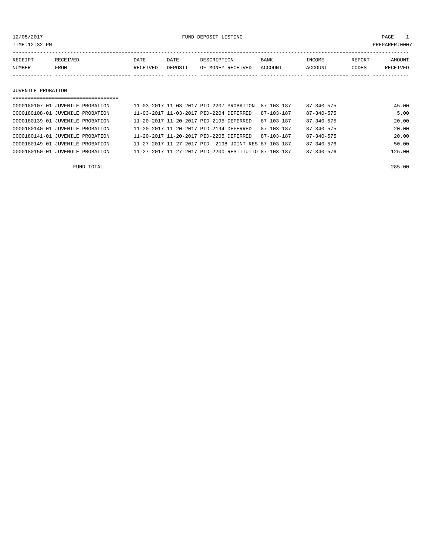12/05/2017 FUND DEPOSIT LISTING PAGE 1

| RECEIPT       | RECEIVED | DATE            | DATE    | DESCRIPTION              | BANK           | INCOME  | REPORT | AMOUNT          |
|---------------|----------|-----------------|---------|--------------------------|----------------|---------|--------|-----------------|
| <b>NUMBER</b> | FROM     | <b>RECEIVED</b> | DEPOSIT | MONEY<br>RECEIVED<br>OF. | <b>ACCOUNT</b> | ACCOUNT | CODES  | <b>RECEIVED</b> |
|               |          |                 |         |                          |                |         |        |                 |

#### JUVENILE PROBATION

| =================================== |                                         |                                                      |                  |                  |        |
|-------------------------------------|-----------------------------------------|------------------------------------------------------|------------------|------------------|--------|
| 0000180107-01 JUVENILE PROBATION    |                                         | 11-03-2017 11-03-2017 PID-2207 PROBATION             | 87-103-187       | 87-340-575       | 45.00  |
| 0000180108-01 JUVENILE PROBATION    | 11-03-2017 11-03-2017 PID-2204 DEFERRED |                                                      | 87-103-187       | $87 - 340 - 575$ | 5.00   |
| 0000180139-01 JUVENILE PROBATION    | 11-20-2017 11-20-2017 PID-2195 DEFERRED |                                                      | $87 - 103 - 187$ | $87 - 340 - 575$ | 20.00  |
| 0000180140-01 JUVENILE PROBATION    | 11-20-2017 11-20-2017 PID-2194 DEFERRED |                                                      | $87 - 103 - 187$ | $87 - 340 - 575$ | 20.00  |
| 0000180141-01 JUVENILE PROBATION    | 11-20-2017 11-20-2017 PID-2205 DEFERRED |                                                      | $87 - 103 - 187$ | $87 - 340 - 575$ | 20.00  |
| 0000180149-01 JUVENILE PROBATION    |                                         | 11-27-2017 11-27-2017 PID- 2198 JOINT RES 87-103-187 |                  | $87 - 340 - 576$ | 50.00  |
| 0000180150-01 JUVENOLE PROBATION    |                                         | 11-27-2017 11-27-2017 PID-2200 RESTITUTIO 87-103-187 |                  | $87 - 340 - 576$ | 125.00 |
|                                     |                                         |                                                      |                  |                  |        |

FUND TOTAL 285.00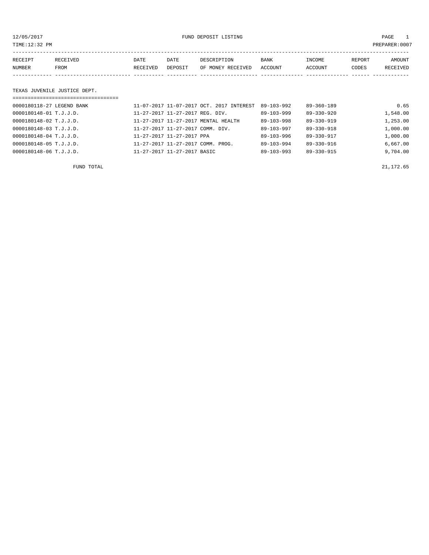12/05/2017 FUND DEPOSIT LISTING PAGE 1

| RECEIPT | <b>RECEIVED</b> | DATE     | DATE    | DESCRIPTION       | <b>BANK</b> | INCOME  | REPORT | AMOUNT          |
|---------|-----------------|----------|---------|-------------------|-------------|---------|--------|-----------------|
| NUMBER  | FROM            | RECEIVED | DEPOSIT | OF MONEY RECEIVED | ACCOUNT     | ACCOUNT | CODES  | <b>RECEIVED</b> |
|         |                 |          |         |                   |             |         |        |                 |

#### TEXAS JUVENILE JUSTICE DEPT.

| ================================== |                                          |                  |                  |          |
|------------------------------------|------------------------------------------|------------------|------------------|----------|
| 0000180118-27 LEGEND BANK          | 11-07-2017 11-07-2017 OCT. 2017 INTEREST | $89 - 103 - 992$ | $89 - 360 - 189$ | 0.65     |
| 0000180148-01 T.J.J.D.             | 11-27-2017 11-27-2017 REG. DIV.          | $89 - 103 - 999$ | 89-330-920       | 1,548.00 |
| 0000180148-02 T.J.J.D.             | 11-27-2017 11-27-2017 MENTAL HEALTH      | 89-103-998       | $89 - 330 - 919$ | 1,253.00 |
| 0000180148-03 T.J.J.D.             | 11-27-2017 11-27-2017 COMM. DIV.         | 89-103-997       | $89 - 330 - 918$ | 1,000.00 |
| 0000180148-04 T.J.J.D.             | 11-27-2017 11-27-2017 PPA                | 89-103-996       | 89-330-917       | 1,000.00 |
| 0000180148-05 T.J.J.D.             | 11-27-2017 11-27-2017 COMM. PROG.        | $89 - 103 - 994$ | 89-330-916       | 6,667.00 |
| 0000180148-06 T.J.J.D.             | 11-27-2017 11-27-2017 BASIC              | $89 - 103 - 993$ | 89-330-915       | 9,704.00 |

FUND TOTAL 21,172.65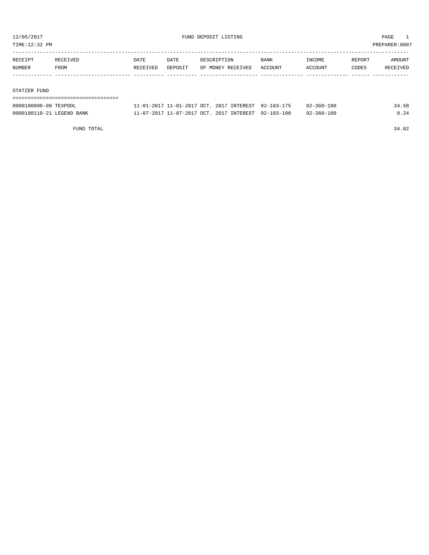TIME:12:32 PM PREPARER:0007

| RECEIPT | RECEIVED | DATE     | DATE    | DESCRIPTION       | BANK    | INCOME  | REPORT | AMOUNT   |
|---------|----------|----------|---------|-------------------|---------|---------|--------|----------|
| NUMBER  | FROM     | RECEIVED | DEPOSIT | OF MONEY RECEIVED | ACCOUNT | ACCOUNT | CODES  | RECEIVED |
|         |          |          |         |                   |         |         |        |          |
|         |          |          |         |                   |         |         |        |          |

#### STATZER FUND

| ------------------------------------ |                                                     |                  |       |
|--------------------------------------|-----------------------------------------------------|------------------|-------|
| 0000180096-09 TEXPOOL                | 11-01-2017 11-01-2017 OCT. 2017 INTEREST 92-103-175 | $92 - 360 - 100$ | 34.58 |
| 0000180118-21 LEGEND BANK            | 11-07-2017 11-07-2017 OCT. 2017 INTEREST 92-103-100 | $92 - 360 - 100$ | 0.24  |

FUND TOTAL 34.82